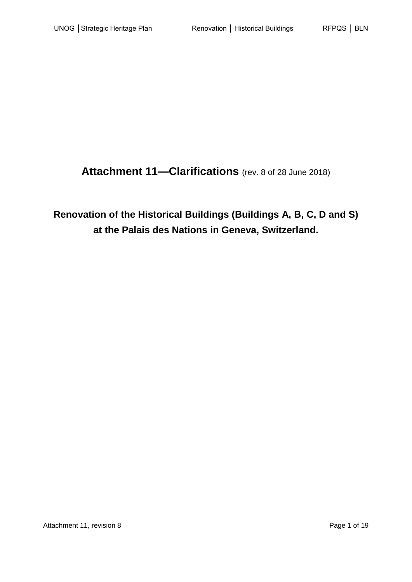**Attachment 11—Clarifications** (rev. 8 of 28 June 2018)

**Renovation of the Historical Buildings (Buildings A, B, C, D and S) at the Palais des Nations in Geneva, Switzerland.**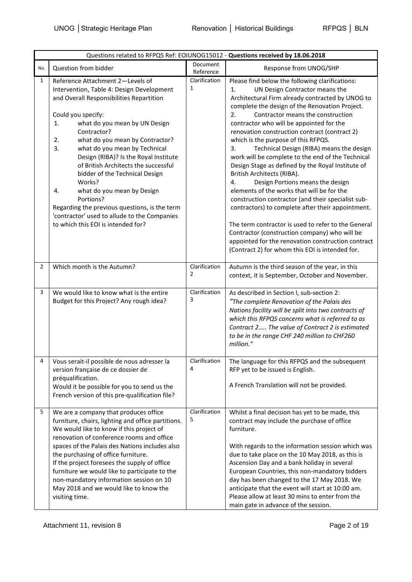| Questions related to RFPQS Ref: EOIUNOG15012 - Questions received by 18.06.2018 |                                                                                                                                                                                                                                                                                                                                                                                                                                                                                                                                                                                                            |                                 |                                                                                                                                                                                                                                                                                                                                                                                                                                                                                                                                                                                                                                                                                                                                                                                                                                                                                                                                                                                            |
|---------------------------------------------------------------------------------|------------------------------------------------------------------------------------------------------------------------------------------------------------------------------------------------------------------------------------------------------------------------------------------------------------------------------------------------------------------------------------------------------------------------------------------------------------------------------------------------------------------------------------------------------------------------------------------------------------|---------------------------------|--------------------------------------------------------------------------------------------------------------------------------------------------------------------------------------------------------------------------------------------------------------------------------------------------------------------------------------------------------------------------------------------------------------------------------------------------------------------------------------------------------------------------------------------------------------------------------------------------------------------------------------------------------------------------------------------------------------------------------------------------------------------------------------------------------------------------------------------------------------------------------------------------------------------------------------------------------------------------------------------|
| No.                                                                             | Question from bidder                                                                                                                                                                                                                                                                                                                                                                                                                                                                                                                                                                                       | Document<br>Reference           | Response from UNOG/SHP                                                                                                                                                                                                                                                                                                                                                                                                                                                                                                                                                                                                                                                                                                                                                                                                                                                                                                                                                                     |
| $\mathbf{1}$                                                                    | Reference Attachment 2-Levels of<br>Intervention, Table 4: Design Development<br>and Overall Responsibilities Repartition<br>Could you specify:<br>what do you mean by UN Design<br>1.<br>Contractor?<br>2.<br>what do you mean by Contractor?<br>3.<br>what do you mean by Technical<br>Design (RIBA)? Is the Royal Institute<br>of British Architects the successful<br>bidder of the Technical Design<br>Works?<br>what do you mean by Design<br>4.<br>Portions?<br>Regarding the previous questions, is the term<br>'contractor' used to allude to the Companies<br>to which this EOI is intended for? | Clarification<br>1              | Please find below the following clarifications:<br>UN Design Contractor means the<br>1.<br>Architectural Firm already contracted by UNOG to<br>complete the design of the Renovation Project.<br>Contractor means the construction<br>2.<br>contractor who will be appointed for the<br>renovation construction contract (contract 2)<br>which is the purpose of this RFPQS.<br>Technical Design (RIBA) means the design<br>3.<br>work will be complete to the end of the Technical<br>Design Stage as defined by the Royal Institute of<br>British Architects (RIBA).<br>4.<br>Design Portions means the design<br>elements of the works that will be for the<br>construction contractor (and their specialist sub-<br>contractors) to complete after their appointment.<br>The term contractor is used to refer to the General<br>Contractor (construction company) who will be<br>appointed for the renovation construction contract<br>(Contract 2) for whom this EOI is intended for. |
| $\overline{2}$                                                                  | Which month is the Autumn?                                                                                                                                                                                                                                                                                                                                                                                                                                                                                                                                                                                 | Clarification<br>$\overline{2}$ | Autumn is the third season of the year, in this<br>context, it is September, October and November.                                                                                                                                                                                                                                                                                                                                                                                                                                                                                                                                                                                                                                                                                                                                                                                                                                                                                         |
| 3                                                                               | We would like to know what is the entire<br>Budget for this Project? Any rough idea?                                                                                                                                                                                                                                                                                                                                                                                                                                                                                                                       | Clarification<br>3              | As described in Section I, sub-section 2:<br>"The complete Renovation of the Palais des<br>Nations facility will be split into two contracts of<br>which this RFPQS concerns what is referred to as<br>Contract 2 The value of Contract 2 is estimated<br>to be in the range CHF 240 million to CHF260<br>million."                                                                                                                                                                                                                                                                                                                                                                                                                                                                                                                                                                                                                                                                        |
|                                                                                 | Vous serait-il possible de nous adresser la<br>version française de ce dossier de<br>préqualification.<br>Would it be possible for you to send us the<br>French version of this pre-qualification file?                                                                                                                                                                                                                                                                                                                                                                                                    | Clarification<br>4              | The language for this RFPQS and the subsequent<br>RFP yet to be issued is English.<br>A French Translation will not be provided.                                                                                                                                                                                                                                                                                                                                                                                                                                                                                                                                                                                                                                                                                                                                                                                                                                                           |
| 5                                                                               | We are a company that produces office<br>furniture, chairs, lighting and office partitions.<br>We would like to know if this project of<br>renovation of conference rooms and office<br>spaces of the Palais des Nations includes also<br>the purchasing of office furniture.<br>If the project foresees the supply of office<br>furniture we would like to participate to the<br>non-mandatory information session on 10<br>May 2018 and we would like to know the<br>visiting time.                                                                                                                      | Clarification<br>5              | Whilst a final decision has yet to be made, this<br>contract may include the purchase of office<br>furniture.<br>With regards to the information session which was<br>due to take place on the 10 May 2018, as this is<br>Ascension Day and a bank holiday in several<br>European Countries, this non-mandatory bidders<br>day has been changed to the 17 May 2018. We<br>anticipate that the event will start at 10:00 am.<br>Please allow at least 30 mins to enter from the<br>main gate in advance of the session.                                                                                                                                                                                                                                                                                                                                                                                                                                                                     |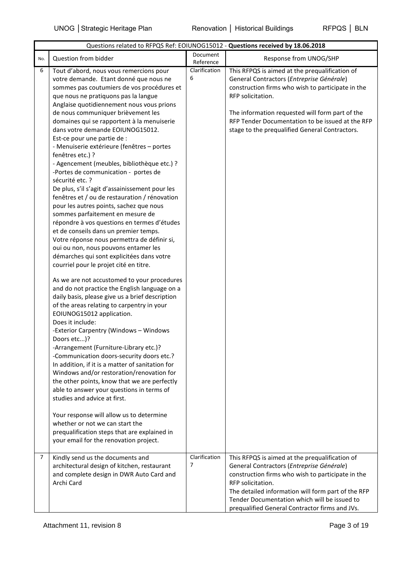|                | Questions related to RFPQS Ref: EOIUNOG15012 - Questions received by 18.06.2018                                                                                                                                                                                                                                                                                                                                                                                                                                                                                                                                                                                                                                                                                                                                                                                                                                                                                                                                 |                       |                                                                                                                                                                                                                                                                                                                                |  |  |
|----------------|-----------------------------------------------------------------------------------------------------------------------------------------------------------------------------------------------------------------------------------------------------------------------------------------------------------------------------------------------------------------------------------------------------------------------------------------------------------------------------------------------------------------------------------------------------------------------------------------------------------------------------------------------------------------------------------------------------------------------------------------------------------------------------------------------------------------------------------------------------------------------------------------------------------------------------------------------------------------------------------------------------------------|-----------------------|--------------------------------------------------------------------------------------------------------------------------------------------------------------------------------------------------------------------------------------------------------------------------------------------------------------------------------|--|--|
| No.            | Question from bidder                                                                                                                                                                                                                                                                                                                                                                                                                                                                                                                                                                                                                                                                                                                                                                                                                                                                                                                                                                                            | Document<br>Reference | Response from UNOG/SHP                                                                                                                                                                                                                                                                                                         |  |  |
| 6              | Tout d'abord, nous vous remercions pour<br>votre demande. Etant donné que nous ne<br>sommes pas coutumiers de vos procédures et<br>que nous ne pratiquons pas la langue<br>Anglaise quotidiennement nous vous prions<br>de nous communiquer brièvement les<br>domaines qui se rapportent à la menuiserie<br>dans votre demande EOIUNOG15012.<br>Est-ce pour une partie de :<br>- Menuiserie extérieure (fenêtres - portes<br>fenêtres etc.) ?<br>- Agencement (meubles, bibliothèque etc.) ?<br>-Portes de communication - portes de<br>sécurité etc. ?<br>De plus, s'il s'agit d'assainissement pour les<br>fenêtres et / ou de restauration / rénovation<br>pour les autres points, sachez que nous<br>sommes parfaitement en mesure de<br>répondre à vos questions en termes d'études<br>et de conseils dans un premier temps.<br>Votre réponse nous permettra de définir si,<br>oui ou non, nous pouvons entamer les<br>démarches qui sont explicitées dans votre<br>courriel pour le projet cité en titre. | Clarification<br>6    | This RFPQS is aimed at the prequalification of<br>General Contractors (Entreprise Générale)<br>construction firms who wish to participate in the<br>RFP solicitation.<br>The information requested will form part of the<br>RFP Tender Documentation to be issued at the RFP<br>stage to the prequalified General Contractors. |  |  |
|                | As we are not accustomed to your procedures<br>and do not practice the English language on a<br>daily basis, please give us a brief description<br>of the areas relating to carpentry in your<br>EOIUNOG15012 application.<br>Does it include:<br>-Exterior Carpentry (Windows - Windows<br>Doors etc)?<br>-Arrangement (Furniture-Library etc.)?<br>-Communication doors-security doors etc.?<br>In addition, if it is a matter of sanitation for<br>Windows and/or restoration/renovation for<br>the other points, know that we are perfectly<br>able to answer your questions in terms of<br>studies and advice at first.                                                                                                                                                                                                                                                                                                                                                                                    |                       |                                                                                                                                                                                                                                                                                                                                |  |  |
|                | Your response will allow us to determine<br>whether or not we can start the<br>prequalification steps that are explained in<br>your email for the renovation project.                                                                                                                                                                                                                                                                                                                                                                                                                                                                                                                                                                                                                                                                                                                                                                                                                                           |                       |                                                                                                                                                                                                                                                                                                                                |  |  |
| $\overline{7}$ | Kindly send us the documents and<br>architectural design of kitchen, restaurant<br>and complete design in DWR Auto Card and<br>Archi Card                                                                                                                                                                                                                                                                                                                                                                                                                                                                                                                                                                                                                                                                                                                                                                                                                                                                       | Clarification<br>7    | This RFPQS is aimed at the prequalification of<br>General Contractors (Entreprise Générale)<br>construction firms who wish to participate in the<br>RFP solicitation.<br>The detailed information will form part of the RFP<br>Tender Documentation which will be issued to<br>prequalified General Contractor firms and JVs.  |  |  |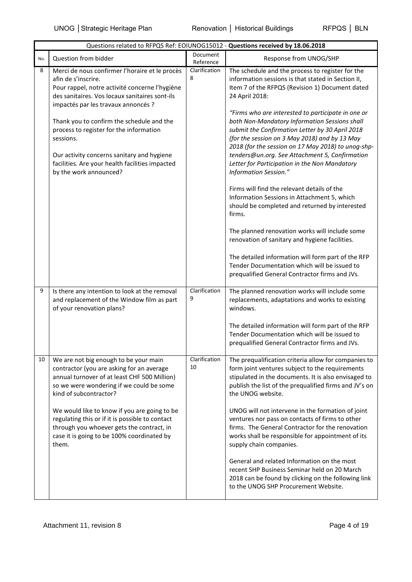| Questions related to RFPQS Ref: EOIUNOG15012 - Questions received by 18.06.2018 |                                                                                                                                                                                                                              |                       |                                                                                                                                                                                                                                                                                                                                                                                           |
|---------------------------------------------------------------------------------|------------------------------------------------------------------------------------------------------------------------------------------------------------------------------------------------------------------------------|-----------------------|-------------------------------------------------------------------------------------------------------------------------------------------------------------------------------------------------------------------------------------------------------------------------------------------------------------------------------------------------------------------------------------------|
| No.                                                                             | Question from bidder                                                                                                                                                                                                         | Document<br>Reference | Response from UNOG/SHP                                                                                                                                                                                                                                                                                                                                                                    |
| 8                                                                               | Merci de nous confirmer l'horaire et le procès<br>afin de s'inscrire.<br>Pour rappel, notre activité concerne l'hygiène<br>des sanitaires. Vos locaux sanitaires sont-ils<br>impactés par les travaux annoncés ?             | Clarification<br>8    | The schedule and the process to register for the<br>information sessions is that stated in Section II,<br>Item 7 of the RFPQS (Revision 1) Document dated<br>24 April 2018:                                                                                                                                                                                                               |
|                                                                                 | Thank you to confirm the schedule and the<br>process to register for the information<br>sessions.<br>Our activity concerns sanitary and hygiene<br>facilities. Are your health facilities impacted<br>by the work announced? |                       | "Firms who are interested to participate in one or<br>both Non-Mandatory Information Sessions shall<br>submit the Confirmation Letter by 30 April 2018<br>(for the session on 3 May 2018) and by 13 May<br>2018 (for the session on 17 May 2018) to unog-shp-<br>tenders@un.org. See Attachment 5, Confirmation<br>Letter for Participation in the Non Mandatory<br>Information Session." |
|                                                                                 |                                                                                                                                                                                                                              |                       | Firms will find the relevant details of the<br>Information Sessions in Attachment 5, which<br>should be completed and returned by interested<br>firms.                                                                                                                                                                                                                                    |
|                                                                                 |                                                                                                                                                                                                                              |                       | The planned renovation works will include some<br>renovation of sanitary and hygiene facilities.                                                                                                                                                                                                                                                                                          |
|                                                                                 |                                                                                                                                                                                                                              |                       | The detailed information will form part of the RFP<br>Tender Documentation which will be issued to<br>prequalified General Contractor firms and JVs.                                                                                                                                                                                                                                      |
| 9                                                                               | Is there any intention to look at the removal<br>and replacement of the Window film as part<br>of your renovation plans?                                                                                                     | Clarification<br>9    | The planned renovation works will include some<br>replacements, adaptations and works to existing<br>windows.                                                                                                                                                                                                                                                                             |
|                                                                                 |                                                                                                                                                                                                                              |                       | The detailed information will form part of the RFP<br>Tender Documentation which will be issued to<br>prequalified General Contractor firms and JVs.                                                                                                                                                                                                                                      |
| 10                                                                              | We are not big enough to be your main<br>contractor (you are asking for an average<br>annual turnover of at least CHF 500 Million)<br>so we were wondering if we could be some<br>kind of subcontractor?                     | Clarification<br>10   | The prequalification criteria allow for companies to<br>form joint ventures subject to the requirements<br>stipulated in the documents. It is also envisaged to<br>publish the list of the prequalified firms and JV's on<br>the UNOG website.                                                                                                                                            |
|                                                                                 | We would like to know if you are going to be<br>regulating this or if it is possible to contact<br>through you whoever gets the contract, in<br>case it is going to be 100% coordinated by<br>them.                          |                       | UNOG will not intervene in the formation of joint<br>ventures nor pass on contacts of firms to other<br>firms. The General Contractor for the renovation<br>works shall be responsible for appointment of its<br>supply chain companies.                                                                                                                                                  |
|                                                                                 |                                                                                                                                                                                                                              |                       | General and related Information on the most<br>recent SHP Business Seminar held on 20 March<br>2018 can be found by clicking on the following link<br>to the UNOG SHP Procurement Website.                                                                                                                                                                                                |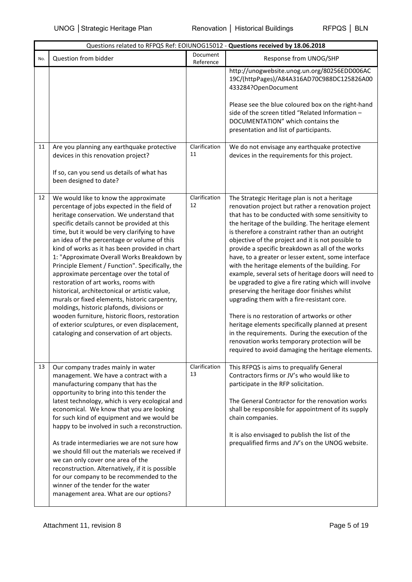|     |                                                                                                                                                                                                                                                                                                                                                                                                                                                                                                                                                                                                                                                                                                                                                                                                                            |                       | Questions related to RFPQS Ref: EOIUNOG15012 - Questions received by 18.06.2018                                                                                                                                                                                                                                                                                                                                                                                                                                                                                                                                                                                                                                                                                                                                                                                                                                                                                      |
|-----|----------------------------------------------------------------------------------------------------------------------------------------------------------------------------------------------------------------------------------------------------------------------------------------------------------------------------------------------------------------------------------------------------------------------------------------------------------------------------------------------------------------------------------------------------------------------------------------------------------------------------------------------------------------------------------------------------------------------------------------------------------------------------------------------------------------------------|-----------------------|----------------------------------------------------------------------------------------------------------------------------------------------------------------------------------------------------------------------------------------------------------------------------------------------------------------------------------------------------------------------------------------------------------------------------------------------------------------------------------------------------------------------------------------------------------------------------------------------------------------------------------------------------------------------------------------------------------------------------------------------------------------------------------------------------------------------------------------------------------------------------------------------------------------------------------------------------------------------|
| No. | Question from bidder                                                                                                                                                                                                                                                                                                                                                                                                                                                                                                                                                                                                                                                                                                                                                                                                       | Document<br>Reference | Response from UNOG/SHP                                                                                                                                                                                                                                                                                                                                                                                                                                                                                                                                                                                                                                                                                                                                                                                                                                                                                                                                               |
|     |                                                                                                                                                                                                                                                                                                                                                                                                                                                                                                                                                                                                                                                                                                                                                                                                                            |                       | http://unogwebsite.unog.un.org/80256EDD006AC<br>19C/(httpPages)/A84A316AD70C988DC125826A00<br>433284?OpenDocument<br>Please see the blue coloured box on the right-hand<br>side of the screen titled "Related Information -<br>DOCUMENTATION" which contains the<br>presentation and list of participants.                                                                                                                                                                                                                                                                                                                                                                                                                                                                                                                                                                                                                                                           |
| 11  | Are you planning any earthquake protective<br>devices in this renovation project?<br>If so, can you send us details of what has<br>been designed to date?                                                                                                                                                                                                                                                                                                                                                                                                                                                                                                                                                                                                                                                                  | Clarification<br>11   | We do not envisage any earthquake protective<br>devices in the requirements for this project.                                                                                                                                                                                                                                                                                                                                                                                                                                                                                                                                                                                                                                                                                                                                                                                                                                                                        |
| 12  | We would like to know the approximate<br>percentage of jobs expected in the field of<br>heritage conservation. We understand that<br>specific details cannot be provided at this<br>time, but it would be very clarifying to have<br>an idea of the percentage or volume of this<br>kind of works as it has been provided in chart<br>1: "Approximate Overall Works Breakdown by<br>Principle Element / Function". Specifically, the<br>approximate percentage over the total of<br>restoration of art works, rooms with<br>historical, architectonical or artistic value,<br>murals or fixed elements, historic carpentry,<br>moldings, historic plafonds, divisions or<br>wooden furniture, historic floors, restoration<br>of exterior sculptures, or even displacement,<br>cataloging and conservation of art objects. | Clarification<br>12   | The Strategic Heritage plan is not a heritage<br>renovation project but rather a renovation project<br>that has to be conducted with some sensitivity to<br>the heritage of the building. The heritage element<br>is therefore a constraint rather than an outright<br>objective of the project and it is not possible to<br>provide a specific breakdown as all of the works<br>have, to a greater or lesser extent, some interface<br>with the heritage elements of the building. For<br>example, several sets of heritage doors will need to<br>be upgraded to give a fire rating which will involve<br>preserving the heritage door finishes whilst<br>upgrading them with a fire-resistant core.<br>There is no restoration of artworks or other<br>heritage elements specifically planned at present<br>in the requirements. During the execution of the<br>renovation works temporary protection will be<br>required to avoid damaging the heritage elements. |
| 13  | Our company trades mainly in water<br>management. We have a contract with a<br>manufacturing company that has the<br>opportunity to bring into this tender the<br>latest technology, which is very ecological and<br>economical. We know that you are looking<br>for such kind of equipment and we would be<br>happy to be involved in such a reconstruction.<br>As trade intermediaries we are not sure how<br>we should fill out the materials we received if<br>we can only cover one area of the<br>reconstruction. Alternatively, if it is possible<br>for our company to be recommended to the<br>winner of the tender for the water<br>management area. What are our options?                                                                                                                                       | Clarification<br>13   | This RFPQS is aims to prequalify General<br>Contractors firms or JV's who would like to<br>participate in the RFP solicitation.<br>The General Contractor for the renovation works<br>shall be responsible for appointment of its supply<br>chain companies.<br>It is also envisaged to publish the list of the<br>prequalified firms and JV's on the UNOG website.                                                                                                                                                                                                                                                                                                                                                                                                                                                                                                                                                                                                  |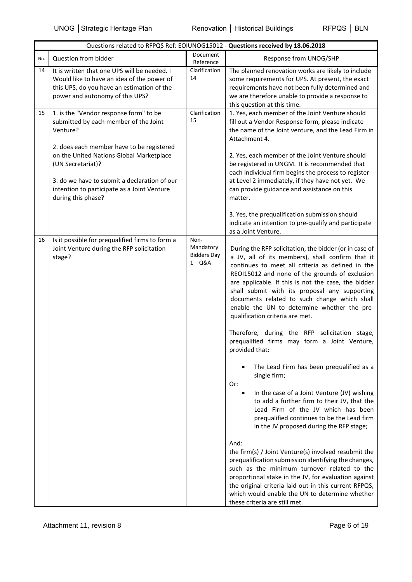|     |                                                                                                                                                                                                                                                                                                                                | Questions related to RFPQS Ref: EOIUNOG15012 - Questions received by 18.06.2018 |                                                                                                                                                                                                                                                                                                                                                                                                                                                                                                                                                                                                                                                                                                                                                                                                                                                                                                                                                                                                                                                                                                                                                                                                                                                                        |
|-----|--------------------------------------------------------------------------------------------------------------------------------------------------------------------------------------------------------------------------------------------------------------------------------------------------------------------------------|---------------------------------------------------------------------------------|------------------------------------------------------------------------------------------------------------------------------------------------------------------------------------------------------------------------------------------------------------------------------------------------------------------------------------------------------------------------------------------------------------------------------------------------------------------------------------------------------------------------------------------------------------------------------------------------------------------------------------------------------------------------------------------------------------------------------------------------------------------------------------------------------------------------------------------------------------------------------------------------------------------------------------------------------------------------------------------------------------------------------------------------------------------------------------------------------------------------------------------------------------------------------------------------------------------------------------------------------------------------|
| No. | Question from bidder                                                                                                                                                                                                                                                                                                           | Document<br>Reference                                                           | Response from UNOG/SHP                                                                                                                                                                                                                                                                                                                                                                                                                                                                                                                                                                                                                                                                                                                                                                                                                                                                                                                                                                                                                                                                                                                                                                                                                                                 |
| 14  | It is written that one UPS will be needed. I<br>Would like to have an idea of the power of<br>this UPS, do you have an estimation of the<br>power and autonomy of this UPS?                                                                                                                                                    | Clarification<br>14                                                             | The planned renovation works are likely to include<br>some requirements for UPS. At present, the exact<br>requirements have not been fully determined and<br>we are therefore unable to provide a response to<br>this question at this time.                                                                                                                                                                                                                                                                                                                                                                                                                                                                                                                                                                                                                                                                                                                                                                                                                                                                                                                                                                                                                           |
| 15  | 1. is the "Vendor response form" to be<br>submitted by each member of the Joint<br>Venture?<br>2. does each member have to be registered<br>on the United Nations Global Marketplace<br>(UN Secretariat)?<br>3. do we have to submit a declaration of our<br>intention to participate as a Joint Venture<br>during this phase? | Clarification<br>15                                                             | 1. Yes, each member of the Joint Venture should<br>fill out a Vendor Response form, please indicate<br>the name of the Joint venture, and the Lead Firm in<br>Attachment 4.<br>2. Yes, each member of the Joint Venture should<br>be registered in UNGM. It is recommended that<br>each individual firm begins the process to register<br>at Level 2 immediately, if they have not yet. We<br>can provide guidance and assistance on this<br>matter.<br>3. Yes, the prequalification submission should<br>indicate an intention to pre-qualify and participate<br>as a Joint Venture.                                                                                                                                                                                                                                                                                                                                                                                                                                                                                                                                                                                                                                                                                  |
| 16  | Is it possible for prequalified firms to form a<br>Joint Venture during the RFP solicitation<br>stage?                                                                                                                                                                                                                         | Non-<br>Mandatory<br><b>Bidders Day</b><br>$1 - Q&A$                            | During the RFP solicitation, the bidder (or in case of<br>a JV, all of its members), shall confirm that it<br>continues to meet all criteria as defined in the<br>REOI15012 and none of the grounds of exclusion<br>are applicable. If this is not the case, the bidder<br>shall submit with its proposal any supporting<br>documents related to such change which shall<br>enable the UN to determine whether the pre-<br>qualification criteria are met.<br>Therefore, during the RFP solicitation stage,<br>prequalified firms may form a Joint Venture,<br>provided that:<br>The Lead Firm has been prequalified as a<br>single firm;<br>Or:<br>In the case of a Joint Venture (JV) wishing<br>$\bullet$<br>to add a further firm to their JV, that the<br>Lead Firm of the JV which has been<br>prequalified continues to be the Lead firm<br>in the JV proposed during the RFP stage;<br>And:<br>the firm(s) / Joint Venture(s) involved resubmit the<br>prequalification submission identifying the changes,<br>such as the minimum turnover related to the<br>proportional stake in the JV, for evaluation against<br>the original criteria laid out in this current RFPQS,<br>which would enable the UN to determine whether<br>these criteria are still met. |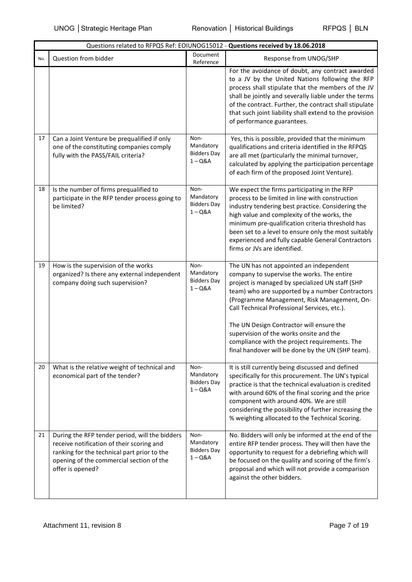|     |                                                                                                                                                                                                            | Questions related to RFPQS Ref: EOIUNOG15012 - Questions received by 18.06.2018 |                                                                                                                                                                                                                                                                                                                                                                                                                                                                                         |
|-----|------------------------------------------------------------------------------------------------------------------------------------------------------------------------------------------------------------|---------------------------------------------------------------------------------|-----------------------------------------------------------------------------------------------------------------------------------------------------------------------------------------------------------------------------------------------------------------------------------------------------------------------------------------------------------------------------------------------------------------------------------------------------------------------------------------|
| No. | Question from bidder                                                                                                                                                                                       | Document<br>Reference                                                           | Response from UNOG/SHP                                                                                                                                                                                                                                                                                                                                                                                                                                                                  |
|     |                                                                                                                                                                                                            |                                                                                 | For the avoidance of doubt, any contract awarded<br>to a JV by the United Nations following the RFP<br>process shall stipulate that the members of the JV<br>shall be jointly and severally liable under the terms<br>of the contract. Further, the contract shall stipulate<br>that such joint liability shall extend to the provision<br>of performance guarantees.                                                                                                                   |
| 17  | Can a Joint Venture be prequalified if only<br>one of the constituting companies comply<br>fully with the PASS/FAIL criteria?                                                                              | Non-<br>Mandatory<br><b>Bidders Day</b><br>$1 - Q&A$                            | Yes, this is possible, provided that the minimum<br>qualifications and criteria identified in the RFPQS<br>are all met (particularly the minimal turnover,<br>calculated by applying the participation percentage<br>of each firm of the proposed Joint Venture).                                                                                                                                                                                                                       |
| 18  | Is the number of firms prequalified to<br>participate in the RFP tender process going to<br>be limited?                                                                                                    | Non-<br>Mandatory<br><b>Bidders Day</b><br>$1 - Q&A$                            | We expect the firms participating in the RFP<br>process to be limited in line with construction<br>industry tendering best practice. Considering the<br>high value and complexity of the works, the<br>minimum pre-qualification criteria threshold has<br>been set to a level to ensure only the most suitably<br>experienced and fully capable General Contractors<br>firms or JVs are identified.                                                                                    |
| 19  | How is the supervision of the works<br>organized? Is there any external independent<br>company doing such supervision?                                                                                     | Non-<br>Mandatory<br><b>Bidders Day</b><br>$1 - Q&A$                            | The UN has not appointed an independent<br>company to supervise the works. The entire<br>project is managed by specialized UN staff (SHP<br>team) who are supported by a number Contractors<br>(Programme Management, Risk Management, On-<br>Call Technical Professional Services, etc.).<br>The UN Design Contractor will ensure the<br>supervision of the works onsite and the<br>compliance with the project requirements. The<br>final handover will be done by the UN (SHP team). |
| 20  | What is the relative weight of technical and<br>economical part of the tender?                                                                                                                             | Non-<br>Mandatory<br><b>Bidders Day</b><br>$1 - Q&A$                            | It is still currently being discussed and defined<br>specifically for this procurement. The UN's typical<br>practice is that the technical evaluation is credited<br>with around 60% of the final scoring and the price<br>component with around 40%. We are still<br>considering the possibility of further increasing the<br>% weighting allocated to the Technical Scoring.                                                                                                          |
| 21  | During the RFP tender period, will the bidders<br>receive notification of their scoring and<br>ranking for the technical part prior to the<br>opening of the commercial section of the<br>offer is opened? | Non-<br>Mandatory<br><b>Bidders Day</b><br>$1 - Q&A$                            | No. Bidders will only be informed at the end of the<br>entire RFP tender process. They will then have the<br>opportunity to request for a debriefing which will<br>be focused on the quality and scoring of the firm's<br>proposal and which will not provide a comparison<br>against the other bidders.                                                                                                                                                                                |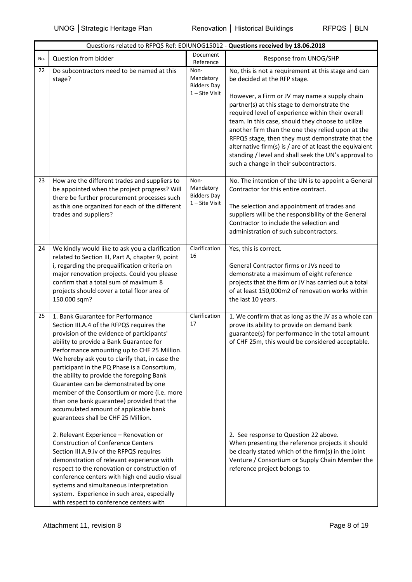|     |                                                                                                                                                                                                                                                                                                                                                                                                                                                                                                                                                                                                                                      | Questions related to RFPQS Ref: EOIUNOG15012 - Questions received by 18.06.2018 |                                                                                                                                                                                                                                                                                                                                                                                                                                                                                                                                                                       |
|-----|--------------------------------------------------------------------------------------------------------------------------------------------------------------------------------------------------------------------------------------------------------------------------------------------------------------------------------------------------------------------------------------------------------------------------------------------------------------------------------------------------------------------------------------------------------------------------------------------------------------------------------------|---------------------------------------------------------------------------------|-----------------------------------------------------------------------------------------------------------------------------------------------------------------------------------------------------------------------------------------------------------------------------------------------------------------------------------------------------------------------------------------------------------------------------------------------------------------------------------------------------------------------------------------------------------------------|
| No. | Question from bidder                                                                                                                                                                                                                                                                                                                                                                                                                                                                                                                                                                                                                 | Document<br>Reference                                                           | Response from UNOG/SHP                                                                                                                                                                                                                                                                                                                                                                                                                                                                                                                                                |
| 22  | Do subcontractors need to be named at this<br>stage?                                                                                                                                                                                                                                                                                                                                                                                                                                                                                                                                                                                 | Non-<br>Mandatory<br><b>Bidders Day</b><br>$1 -$ Site Visit                     | No, this is not a requirement at this stage and can<br>be decided at the RFP stage.<br>However, a Firm or JV may name a supply chain<br>partner(s) at this stage to demonstrate the<br>required level of experience within their overall<br>team. In this case, should they choose to utilize<br>another firm than the one they relied upon at the<br>RFPQS stage, then they must demonstrate that the<br>alternative firm(s) is $/$ are of at least the equivalent<br>standing / level and shall seek the UN's approval to<br>such a change in their subcontractors. |
| 23  | How are the different trades and suppliers to<br>be appointed when the project progress? Will<br>there be further procurement processes such<br>as this one organized for each of the different<br>trades and suppliers?                                                                                                                                                                                                                                                                                                                                                                                                             | Non-<br>Mandatory<br><b>Bidders Day</b><br>$1 -$ Site Visit                     | No. The intention of the UN is to appoint a General<br>Contractor for this entire contract.<br>The selection and appointment of trades and<br>suppliers will be the responsibility of the General<br>Contractor to include the selection and<br>administration of such subcontractors.                                                                                                                                                                                                                                                                                |
| 24  | We kindly would like to ask you a clarification<br>related to Section III, Part A, chapter 9, point<br>i, regarding the prequalification criteria on<br>major renovation projects. Could you please<br>confirm that a total sum of maximum 8<br>projects should cover a total floor area of<br>150.000 sqm?                                                                                                                                                                                                                                                                                                                          | Clarification<br>16                                                             | Yes, this is correct.<br>General Contractor firms or JVs need to<br>demonstrate a maximum of eight reference<br>projects that the firm or JV has carried out a total<br>of at least 150,000m2 of renovation works within<br>the last 10 years.                                                                                                                                                                                                                                                                                                                        |
| 25  | 1. Bank Guarantee for Performance<br>Section III.A.4 of the RFPQS requires the<br>provision of the evidence of participants'<br>ability to provide a Bank Guarantee for<br>Performance amounting up to CHF 25 Million.<br>We hereby ask you to clarify that, in case the<br>participant in the PQ Phase is a Consortium,<br>the ability to provide the foregoing Bank<br>Guarantee can be demonstrated by one<br>member of the Consortium or more (i.e. more<br>than one bank guarantee) provided that the<br>accumulated amount of applicable bank<br>guarantees shall be CHF 25 Million.<br>2. Relevant Experience - Renovation or | Clarification<br>17                                                             | 1. We confirm that as long as the JV as a whole can<br>prove its ability to provide on demand bank<br>guarantee(s) for performance in the total amount<br>of CHF 25m, this would be considered acceptable.<br>2. See response to Question 22 above.                                                                                                                                                                                                                                                                                                                   |
|     | <b>Construction of Conference Centers</b><br>Section III.A.9.iv of the RFPQS requires<br>demonstration of relevant experience with<br>respect to the renovation or construction of<br>conference centers with high end audio visual<br>systems and simultaneous interpretation<br>system. Experience in such area, especially<br>with respect to conference centers with                                                                                                                                                                                                                                                             |                                                                                 | When presenting the reference projects it should<br>be clearly stated which of the firm(s) in the Joint<br>Venture / Consortium or Supply Chain Member the<br>reference project belongs to.                                                                                                                                                                                                                                                                                                                                                                           |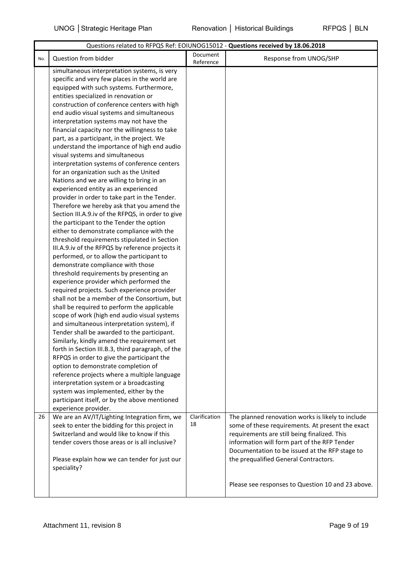|     | Questions related to RFPQS Ref: EOIUNOG15012 - Questions received by 18.06.2018           |                       |                                                   |  |
|-----|-------------------------------------------------------------------------------------------|-----------------------|---------------------------------------------------|--|
| No. | Question from bidder                                                                      | Document<br>Reference | Response from UNOG/SHP                            |  |
|     | simultaneous interpretation systems, is very                                              |                       |                                                   |  |
|     | specific and very few places in the world are                                             |                       |                                                   |  |
|     | equipped with such systems. Furthermore,                                                  |                       |                                                   |  |
|     | entities specialized in renovation or                                                     |                       |                                                   |  |
|     | construction of conference centers with high                                              |                       |                                                   |  |
|     | end audio visual systems and simultaneous                                                 |                       |                                                   |  |
|     | interpretation systems may not have the                                                   |                       |                                                   |  |
|     | financial capacity nor the willingness to take                                            |                       |                                                   |  |
|     | part, as a participant, in the project. We                                                |                       |                                                   |  |
|     | understand the importance of high end audio                                               |                       |                                                   |  |
|     | visual systems and simultaneous                                                           |                       |                                                   |  |
|     | interpretation systems of conference centers                                              |                       |                                                   |  |
|     | for an organization such as the United                                                    |                       |                                                   |  |
|     | Nations and we are willing to bring in an                                                 |                       |                                                   |  |
|     | experienced entity as an experienced                                                      |                       |                                                   |  |
|     | provider in order to take part in the Tender.                                             |                       |                                                   |  |
|     | Therefore we hereby ask that you amend the                                                |                       |                                                   |  |
|     | Section III.A.9.iv of the RFPQS, in order to give                                         |                       |                                                   |  |
|     | the participant to the Tender the option                                                  |                       |                                                   |  |
|     | either to demonstrate compliance with the<br>threshold requirements stipulated in Section |                       |                                                   |  |
|     | III.A.9.iv of the RFPQS by reference projects it                                          |                       |                                                   |  |
|     | performed, or to allow the participant to                                                 |                       |                                                   |  |
|     | demonstrate compliance with those                                                         |                       |                                                   |  |
|     | threshold requirements by presenting an                                                   |                       |                                                   |  |
|     | experience provider which performed the                                                   |                       |                                                   |  |
|     | required projects. Such experience provider                                               |                       |                                                   |  |
|     | shall not be a member of the Consortium, but                                              |                       |                                                   |  |
|     | shall be required to perform the applicable                                               |                       |                                                   |  |
|     | scope of work (high end audio visual systems                                              |                       |                                                   |  |
|     | and simultaneous interpretation system), if                                               |                       |                                                   |  |
|     | Tender shall be awarded to the participant.                                               |                       |                                                   |  |
|     | Similarly, kindly amend the requirement set                                               |                       |                                                   |  |
|     | forth in Section III.B.3, third paragraph, of the                                         |                       |                                                   |  |
|     | RFPQS in order to give the participant the                                                |                       |                                                   |  |
|     | option to demonstrate completion of                                                       |                       |                                                   |  |
|     | reference projects where a multiple language                                              |                       |                                                   |  |
|     | interpretation system or a broadcasting                                                   |                       |                                                   |  |
|     | system was implemented, either by the                                                     |                       |                                                   |  |
|     | participant itself, or by the above mentioned                                             |                       |                                                   |  |
|     | experience provider.                                                                      |                       |                                                   |  |
| 26  | We are an AV/IT/Lighting Integration firm, we                                             | Clarification         | The planned renovation works is likely to include |  |
|     | seek to enter the bidding for this project in                                             | 18                    | some of these requirements. At present the exact  |  |
|     | Switzerland and would like to know if this                                                |                       | requirements are still being finalized. This      |  |
|     | tender covers those areas or is all inclusive?                                            |                       | information will form part of the RFP Tender      |  |
|     |                                                                                           |                       | Documentation to be issued at the RFP stage to    |  |
|     | Please explain how we can tender for just our                                             |                       | the prequalified General Contractors.             |  |
|     | speciality?                                                                               |                       |                                                   |  |
|     |                                                                                           |                       | Please see responses to Question 10 and 23 above. |  |
|     |                                                                                           |                       |                                                   |  |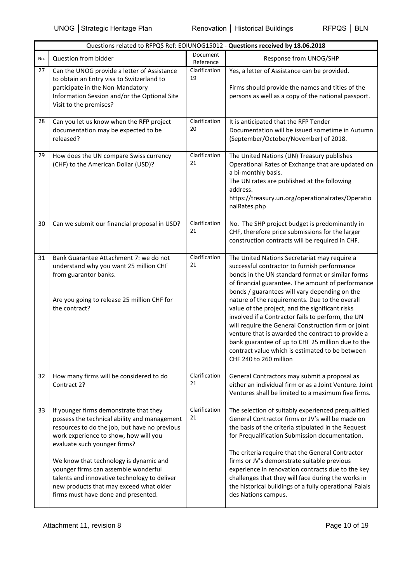|     |                                                                                                                                                                                                                                                                                                                                                                                                                                      | Questions related to RFPQS Ref: EOIUNOG15012 - Questions received by 18.06.2018 |                                                                                                                                                                                                                                                                                                                                                                                                                                                                                                                                                                                                                                                                |
|-----|--------------------------------------------------------------------------------------------------------------------------------------------------------------------------------------------------------------------------------------------------------------------------------------------------------------------------------------------------------------------------------------------------------------------------------------|---------------------------------------------------------------------------------|----------------------------------------------------------------------------------------------------------------------------------------------------------------------------------------------------------------------------------------------------------------------------------------------------------------------------------------------------------------------------------------------------------------------------------------------------------------------------------------------------------------------------------------------------------------------------------------------------------------------------------------------------------------|
| No. | Question from bidder                                                                                                                                                                                                                                                                                                                                                                                                                 | Document<br>Reference                                                           | Response from UNOG/SHP                                                                                                                                                                                                                                                                                                                                                                                                                                                                                                                                                                                                                                         |
| 27  | Can the UNOG provide a letter of Assistance<br>to obtain an Entry visa to Switzerland to<br>participate in the Non-Mandatory<br>Information Session and/or the Optional Site<br>Visit to the premises?                                                                                                                                                                                                                               | Clarification<br>19                                                             | Yes, a letter of Assistance can be provided.<br>Firms should provide the names and titles of the<br>persons as well as a copy of the national passport.                                                                                                                                                                                                                                                                                                                                                                                                                                                                                                        |
| 28  | Can you let us know when the RFP project<br>documentation may be expected to be<br>released?                                                                                                                                                                                                                                                                                                                                         | Clarification<br>20                                                             | It is anticipated that the RFP Tender<br>Documentation will be issued sometime in Autumn<br>(September/October/November) of 2018.                                                                                                                                                                                                                                                                                                                                                                                                                                                                                                                              |
| 29  | How does the UN compare Swiss currency<br>(CHF) to the American Dollar (USD)?                                                                                                                                                                                                                                                                                                                                                        | Clarification<br>21                                                             | The United Nations (UN) Treasury publishes<br>Operational Rates of Exchange that are updated on<br>a bi-monthly basis.<br>The UN rates are published at the following<br>address.<br>https://treasury.un.org/operationalrates/Operatio<br>nalRates.php                                                                                                                                                                                                                                                                                                                                                                                                         |
| 30  | Can we submit our financial proposal in USD?                                                                                                                                                                                                                                                                                                                                                                                         | Clarification<br>21                                                             | No. The SHP project budget is predominantly in<br>CHF, therefore price submissions for the larger<br>construction contracts will be required in CHF.                                                                                                                                                                                                                                                                                                                                                                                                                                                                                                           |
| 31  | Bank Guarantee Attachment 7: we do not<br>understand why you want 25 million CHF<br>from guarantor banks.<br>Are you going to release 25 million CHF for<br>the contract?                                                                                                                                                                                                                                                            | Clarification<br>21                                                             | The United Nations Secretariat may require a<br>successful contractor to furnish performance<br>bonds in the UN standard format or similar forms<br>of financial guarantee. The amount of performance<br>bonds / guarantees will vary depending on the<br>nature of the requirements. Due to the overall<br>value of the project, and the significant risks<br>involved if a Contractor fails to perform, the UN<br>will require the General Construction firm or joint<br>venture that is awarded the contract to provide a<br>bank guarantee of up to CHF 25 million due to the<br>contract value which is estimated to be between<br>CHF 240 to 260 million |
| 32  | How many firms will be considered to do<br>Contract 2?                                                                                                                                                                                                                                                                                                                                                                               | Clarification<br>21                                                             | General Contractors may submit a proposal as<br>either an individual firm or as a Joint Venture. Joint<br>Ventures shall be limited to a maximum five firms.                                                                                                                                                                                                                                                                                                                                                                                                                                                                                                   |
| 33  | If younger firms demonstrate that they<br>possess the technical ability and management<br>resources to do the job, but have no previous<br>work experience to show, how will you<br>evaluate such younger firms?<br>We know that technology is dynamic and<br>younger firms can assemble wonderful<br>talents and innovative technology to deliver<br>new products that may exceed what older<br>firms must have done and presented. | Clarification<br>21                                                             | The selection of suitably experienced prequalified<br>General Contractor firms or JV's will be made on<br>the basis of the criteria stipulated in the Request<br>for Prequalification Submission documentation.<br>The criteria require that the General Contractor<br>firms or JV's demonstrate suitable previous<br>experience in renovation contracts due to the key<br>challenges that they will face during the works in<br>the historical buildings of a fully operational Palais<br>des Nations campus.                                                                                                                                                 |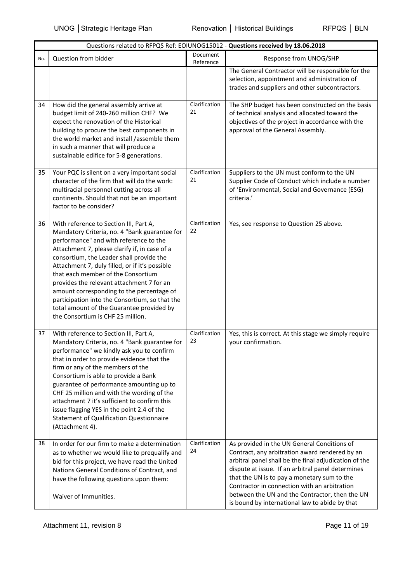|     |                                                                                                                                                                                                                                                                                                                                                                                                                                                                                                                                                      |                       | Questions related to RFPQS Ref: EOIUNOG15012 - Questions received by 18.06.2018                                                                                                                                                                                                                                                                                                                                |
|-----|------------------------------------------------------------------------------------------------------------------------------------------------------------------------------------------------------------------------------------------------------------------------------------------------------------------------------------------------------------------------------------------------------------------------------------------------------------------------------------------------------------------------------------------------------|-----------------------|----------------------------------------------------------------------------------------------------------------------------------------------------------------------------------------------------------------------------------------------------------------------------------------------------------------------------------------------------------------------------------------------------------------|
| No. | Question from bidder                                                                                                                                                                                                                                                                                                                                                                                                                                                                                                                                 | Document<br>Reference | Response from UNOG/SHP                                                                                                                                                                                                                                                                                                                                                                                         |
|     |                                                                                                                                                                                                                                                                                                                                                                                                                                                                                                                                                      |                       | The General Contractor will be responsible for the<br>selection, appointment and administration of<br>trades and suppliers and other subcontractors.                                                                                                                                                                                                                                                           |
| 34  | How did the general assembly arrive at<br>budget limit of 240-260 million CHF? We<br>expect the renovation of the Historical<br>building to procure the best components in<br>the world market and install /assemble them<br>in such a manner that will produce a<br>sustainable edifice for 5-8 generations.                                                                                                                                                                                                                                        | Clarification<br>21   | The SHP budget has been constructed on the basis<br>of technical analysis and allocated toward the<br>objectives of the project in accordance with the<br>approval of the General Assembly.                                                                                                                                                                                                                    |
| 35  | Your PQC is silent on a very important social<br>character of the firm that will do the work:<br>multiracial personnel cutting across all<br>continents. Should that not be an important<br>factor to be consider?                                                                                                                                                                                                                                                                                                                                   | Clarification<br>21   | Suppliers to the UN must conform to the UN<br>Supplier Code of Conduct which include a number<br>of 'Environmental, Social and Governance (ESG)<br>criteria.'                                                                                                                                                                                                                                                  |
| 36  | With reference to Section III, Part A,<br>Mandatory Criteria, no. 4 "Bank guarantee for<br>performance" and with reference to the<br>Attachment 7, please clarify if, in case of a<br>consortium, the Leader shall provide the<br>Attachment 7, duly filled, or if it's possible<br>that each member of the Consortium<br>provides the relevant attachment 7 for an<br>amount corresponding to the percentage of<br>participation into the Consortium, so that the<br>total amount of the Guarantee provided by<br>the Consortium is CHF 25 million. | Clarification<br>22   | Yes, see response to Question 25 above.                                                                                                                                                                                                                                                                                                                                                                        |
| 37  | With reference to Section III, Part A,<br>Mandatory Criteria, no. 4 "Bank guarantee for<br>performance" we kindly ask you to confirm<br>that in order to provide evidence that the<br>firm or any of the members of the<br>Consortium is able to provide a Bank<br>guarantee of performance amounting up to<br>CHF 25 million and with the wording of the<br>attachment 7 it's sufficient to confirm this<br>issue flagging YES in the point 2.4 of the<br><b>Statement of Qualification Questionnaire</b><br>(Attachment 4).                        | Clarification<br>23   | Yes, this is correct. At this stage we simply require<br>your confirmation.                                                                                                                                                                                                                                                                                                                                    |
| 38  | In order for our firm to make a determination<br>as to whether we would like to prequalify and<br>bid for this project, we have read the United<br>Nations General Conditions of Contract, and<br>have the following questions upon them:<br>Waiver of Immunities.                                                                                                                                                                                                                                                                                   | Clarification<br>24   | As provided in the UN General Conditions of<br>Contract, any arbitration award rendered by an<br>arbitral panel shall be the final adjudication of the<br>dispute at issue. If an arbitral panel determines<br>that the UN is to pay a monetary sum to the<br>Contractor in connection with an arbitration<br>between the UN and the Contractor, then the UN<br>is bound by international law to abide by that |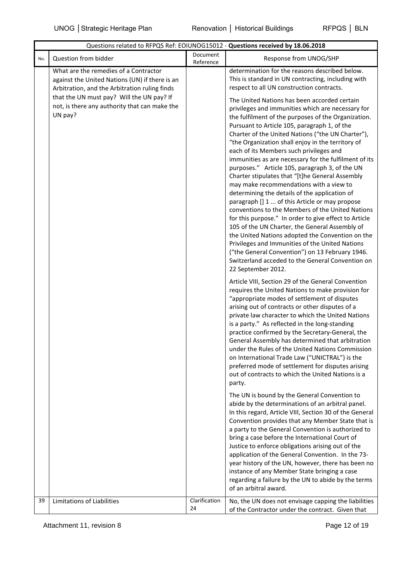|     | Questions related to RFPQS Ref: EOIUNOG15012 - Questions received by 18.06.2018                                                          |                       |                                                                                                                                                                                                                                                                                                                                                                                                                                                                                                                                                                                                                                                                                                                                                                                                                                                                                                                                                                                                                                                                              |  |  |
|-----|------------------------------------------------------------------------------------------------------------------------------------------|-----------------------|------------------------------------------------------------------------------------------------------------------------------------------------------------------------------------------------------------------------------------------------------------------------------------------------------------------------------------------------------------------------------------------------------------------------------------------------------------------------------------------------------------------------------------------------------------------------------------------------------------------------------------------------------------------------------------------------------------------------------------------------------------------------------------------------------------------------------------------------------------------------------------------------------------------------------------------------------------------------------------------------------------------------------------------------------------------------------|--|--|
| No. | Question from bidder                                                                                                                     | Document<br>Reference | Response from UNOG/SHP                                                                                                                                                                                                                                                                                                                                                                                                                                                                                                                                                                                                                                                                                                                                                                                                                                                                                                                                                                                                                                                       |  |  |
|     | What are the remedies of a Contractor<br>against the United Nations (UN) if there is an<br>Arbitration, and the Arbitration ruling finds |                       | determination for the reasons described below.<br>This is standard in UN contracting, including with<br>respect to all UN construction contracts.                                                                                                                                                                                                                                                                                                                                                                                                                                                                                                                                                                                                                                                                                                                                                                                                                                                                                                                            |  |  |
|     | that the UN must pay? Will the UN pay? If<br>not, is there any authority that can make the<br>UN pay?                                    |                       | The United Nations has been accorded certain<br>privileges and immunities which are necessary for<br>the fulfilment of the purposes of the Organization.<br>Pursuant to Article 105, paragraph 1, of the<br>Charter of the United Nations ("the UN Charter"),<br>"the Organization shall enjoy in the territory of<br>each of its Members such privileges and<br>immunities as are necessary for the fulfilment of its<br>purposes." Article 105, paragraph 3, of the UN<br>Charter stipulates that "[t]he General Assembly<br>may make recommendations with a view to<br>determining the details of the application of<br>paragraph [] 1  of this Article or may propose<br>conventions to the Members of the United Nations<br>for this purpose." In order to give effect to Article<br>105 of the UN Charter, the General Assembly of<br>the United Nations adopted the Convention on the<br>Privileges and Immunities of the United Nations<br>("the General Convention") on 13 February 1946.<br>Switzerland acceded to the General Convention on<br>22 September 2012. |  |  |
|     |                                                                                                                                          |                       | Article VIII, Section 29 of the General Convention<br>requires the United Nations to make provision for<br>"appropriate modes of settlement of disputes<br>arising out of contracts or other disputes of a<br>private law character to which the United Nations<br>is a party." As reflected in the long-standing<br>practice confirmed by the Secretary-General, the<br>General Assembly has determined that arbitration<br>under the Rules of the United Nations Commission<br>on International Trade Law ("UNICTRAL") is the<br>preferred mode of settlement for disputes arising<br>out of contracts to which the United Nations is a<br>party.                                                                                                                                                                                                                                                                                                                                                                                                                          |  |  |
|     |                                                                                                                                          |                       | The UN is bound by the General Convention to<br>abide by the determinations of an arbitral panel.<br>In this regard, Article VIII, Section 30 of the General<br>Convention provides that any Member State that is<br>a party to the General Convention is authorized to<br>bring a case before the International Court of<br>Justice to enforce obligations arising out of the<br>application of the General Convention. In the 73-<br>year history of the UN, however, there has been no<br>instance of any Member State bringing a case<br>regarding a failure by the UN to abide by the terms<br>of an arbitral award.                                                                                                                                                                                                                                                                                                                                                                                                                                                    |  |  |
| 39  | Limitations of Liabilities                                                                                                               | Clarification<br>24   | No, the UN does not envisage capping the liabilities<br>of the Contractor under the contract. Given that                                                                                                                                                                                                                                                                                                                                                                                                                                                                                                                                                                                                                                                                                                                                                                                                                                                                                                                                                                     |  |  |

Attachment 11, revision 8 Page 12 of 19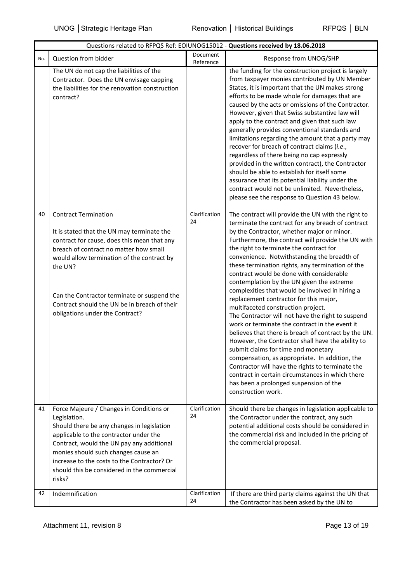|     | Questions related to RFPQS Ref: EOIUNOG15012 - Questions received by 18.06.2018                                                                                                                                                                                                                                                                               |                       |                                                                                                                                                                                                                                                                                                                                                                                                                                                                                                                                                                                                                                                                                                                                                                                                                                                                                                                                                                                                                                                                            |  |
|-----|---------------------------------------------------------------------------------------------------------------------------------------------------------------------------------------------------------------------------------------------------------------------------------------------------------------------------------------------------------------|-----------------------|----------------------------------------------------------------------------------------------------------------------------------------------------------------------------------------------------------------------------------------------------------------------------------------------------------------------------------------------------------------------------------------------------------------------------------------------------------------------------------------------------------------------------------------------------------------------------------------------------------------------------------------------------------------------------------------------------------------------------------------------------------------------------------------------------------------------------------------------------------------------------------------------------------------------------------------------------------------------------------------------------------------------------------------------------------------------------|--|
| No. | Question from bidder                                                                                                                                                                                                                                                                                                                                          | Document<br>Reference | Response from UNOG/SHP                                                                                                                                                                                                                                                                                                                                                                                                                                                                                                                                                                                                                                                                                                                                                                                                                                                                                                                                                                                                                                                     |  |
|     | The UN do not cap the liabilities of the<br>Contractor. Does the UN envisage capping<br>the liabilities for the renovation construction<br>contract?                                                                                                                                                                                                          |                       | the funding for the construction project is largely<br>from taxpayer monies contributed by UN Member<br>States, it is important that the UN makes strong<br>efforts to be made whole for damages that are<br>caused by the acts or omissions of the Contractor.<br>However, given that Swiss substantive law will<br>apply to the contract and given that such law<br>generally provides conventional standards and<br>limitations regarding the amount that a party may<br>recover for breach of contract claims (i.e.,<br>regardless of there being no cap expressly<br>provided in the written contract), the Contractor<br>should be able to establish for itself some<br>assurance that its potential liability under the<br>contract would not be unlimited. Nevertheless,<br>please see the response to Question 43 below.                                                                                                                                                                                                                                          |  |
| 40  | <b>Contract Termination</b><br>It is stated that the UN may terminate the<br>contract for cause, does this mean that any<br>breach of contract no matter how small<br>would allow termination of the contract by<br>the UN?<br>Can the Contractor terminate or suspend the<br>Contract should the UN be in breach of their<br>obligations under the Contract? | Clarification<br>24   | The contract will provide the UN with the right to<br>terminate the contract for any breach of contract<br>by the Contractor, whether major or minor.<br>Furthermore, the contract will provide the UN with<br>the right to terminate the contract for<br>convenience. Notwithstanding the breadth of<br>these termination rights, any termination of the<br>contract would be done with considerable<br>contemplation by the UN given the extreme<br>complexities that would be involved in hiring a<br>replacement contractor for this major,<br>multifaceted construction project.<br>The Contractor will not have the right to suspend<br>work or terminate the contract in the event it<br>believes that there is breach of contract by the UN.<br>However, the Contractor shall have the ability to<br>submit claims for time and monetary<br>compensation, as appropriate. In addition, the<br>Contractor will have the rights to terminate the<br>contract in certain circumstances in which there<br>has been a prolonged suspension of the<br>construction work. |  |
| 41  | Force Majeure / Changes in Conditions or<br>Legislation.<br>Should there be any changes in legislation<br>applicable to the contractor under the<br>Contract, would the UN pay any additional<br>monies should such changes cause an<br>increase to the costs to the Contractor? Or<br>should this be considered in the commercial<br>risks?                  | Clarification<br>24   | Should there be changes in legislation applicable to<br>the Contractor under the contract, any such<br>potential additional costs should be considered in<br>the commercial risk and included in the pricing of<br>the commercial proposal.                                                                                                                                                                                                                                                                                                                                                                                                                                                                                                                                                                                                                                                                                                                                                                                                                                |  |
| 42  | Indemnification                                                                                                                                                                                                                                                                                                                                               | Clarification<br>24   | If there are third party claims against the UN that<br>the Contractor has been asked by the UN to                                                                                                                                                                                                                                                                                                                                                                                                                                                                                                                                                                                                                                                                                                                                                                                                                                                                                                                                                                          |  |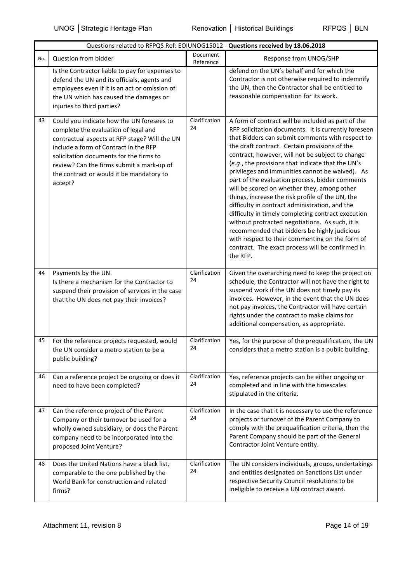|     | Questions related to RFPQS Ref: EOIUNOG15012 - Questions received by 18.06.2018                                                                                                                                                                                                                                            |                       |                                                                                                                                                                                                                                                                                                                                                                                                                                                                                                                                                                                                                                                                                                                                                                                                                                                                 |  |
|-----|----------------------------------------------------------------------------------------------------------------------------------------------------------------------------------------------------------------------------------------------------------------------------------------------------------------------------|-----------------------|-----------------------------------------------------------------------------------------------------------------------------------------------------------------------------------------------------------------------------------------------------------------------------------------------------------------------------------------------------------------------------------------------------------------------------------------------------------------------------------------------------------------------------------------------------------------------------------------------------------------------------------------------------------------------------------------------------------------------------------------------------------------------------------------------------------------------------------------------------------------|--|
| No. | Question from bidder                                                                                                                                                                                                                                                                                                       | Document<br>Reference | Response from UNOG/SHP                                                                                                                                                                                                                                                                                                                                                                                                                                                                                                                                                                                                                                                                                                                                                                                                                                          |  |
|     | Is the Contractor liable to pay for expenses to<br>defend the UN and its officials, agents and<br>employees even if it is an act or omission of<br>the UN which has caused the damages or<br>injuries to third parties?                                                                                                    |                       | defend on the UN's behalf and for which the<br>Contractor is not otherwise required to indemnify<br>the UN, then the Contractor shall be entitled to<br>reasonable compensation for its work.                                                                                                                                                                                                                                                                                                                                                                                                                                                                                                                                                                                                                                                                   |  |
| 43  | Could you indicate how the UN foresees to<br>complete the evaluation of legal and<br>contractual aspects at RFP stage? Will the UN<br>include a form of Contract in the RFP<br>solicitation documents for the firms to<br>review? Can the firms submit a mark-up of<br>the contract or would it be mandatory to<br>accept? | Clarification<br>24   | A form of contract will be included as part of the<br>RFP solicitation documents. It is currently foreseen<br>that Bidders can submit comments with respect to<br>the draft contract. Certain provisions of the<br>contract, however, will not be subject to change<br>(e.g., the provisions that indicate that the UN's<br>privileges and immunities cannot be waived). As<br>part of the evaluation process, bidder comments<br>will be scored on whether they, among other<br>things, increase the risk profile of the UN, the<br>difficulty in contract administration, and the<br>difficulty in timely completing contract execution<br>without protracted negotiations. As such, it is<br>recommended that bidders be highly judicious<br>with respect to their commenting on the form of<br>contract. The exact process will be confirmed in<br>the RFP. |  |
| 44  | Payments by the UN.<br>Is there a mechanism for the Contractor to<br>suspend their provision of services in the case<br>that the UN does not pay their invoices?                                                                                                                                                           | Clarification<br>24   | Given the overarching need to keep the project on<br>schedule, the Contractor will not have the right to<br>suspend work if the UN does not timely pay its<br>invoices. However, in the event that the UN does<br>not pay invoices, the Contractor will have certain<br>rights under the contract to make claims for<br>additional compensation, as appropriate.                                                                                                                                                                                                                                                                                                                                                                                                                                                                                                |  |
| 45  | For the reference projects requested, would<br>the UN consider a metro station to be a<br>public building?                                                                                                                                                                                                                 | Clarification<br>24   | Yes, for the purpose of the prequalification, the UN<br>considers that a metro station is a public building.                                                                                                                                                                                                                                                                                                                                                                                                                                                                                                                                                                                                                                                                                                                                                    |  |
| 46  | Can a reference project be ongoing or does it<br>need to have been completed?                                                                                                                                                                                                                                              | Clarification<br>24   | Yes, reference projects can be either ongoing or<br>completed and in line with the timescales<br>stipulated in the criteria.                                                                                                                                                                                                                                                                                                                                                                                                                                                                                                                                                                                                                                                                                                                                    |  |
| 47  | Can the reference project of the Parent<br>Company or their turnover be used for a<br>wholly owned subsidiary, or does the Parent<br>company need to be incorporated into the<br>proposed Joint Venture?                                                                                                                   | Clarification<br>24   | In the case that it is necessary to use the reference<br>projects or turnover of the Parent Company to<br>comply with the prequalification criteria, then the<br>Parent Company should be part of the General<br>Contractor Joint Venture entity.                                                                                                                                                                                                                                                                                                                                                                                                                                                                                                                                                                                                               |  |
| 48  | Does the United Nations have a black list,<br>comparable to the one published by the<br>World Bank for construction and related<br>firms?                                                                                                                                                                                  | Clarification<br>24   | The UN considers individuals, groups, undertakings<br>and entities designated on Sanctions List under<br>respective Security Council resolutions to be<br>ineligible to receive a UN contract award.                                                                                                                                                                                                                                                                                                                                                                                                                                                                                                                                                                                                                                                            |  |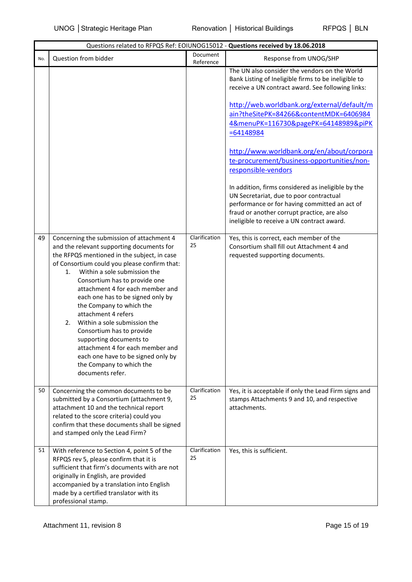|     | Questions related to RFPQS Ref: EOIUNOG15012 - Questions received by 18.06.2018                                                                                                                                                                                                                                                                                                                                                                                                                                                                                                                                  |                       |                                                                                                                                                                                                                                                                                                                                                                                                                                                                                                                                                                                                                                                                              |  |
|-----|------------------------------------------------------------------------------------------------------------------------------------------------------------------------------------------------------------------------------------------------------------------------------------------------------------------------------------------------------------------------------------------------------------------------------------------------------------------------------------------------------------------------------------------------------------------------------------------------------------------|-----------------------|------------------------------------------------------------------------------------------------------------------------------------------------------------------------------------------------------------------------------------------------------------------------------------------------------------------------------------------------------------------------------------------------------------------------------------------------------------------------------------------------------------------------------------------------------------------------------------------------------------------------------------------------------------------------------|--|
| No. | Question from bidder                                                                                                                                                                                                                                                                                                                                                                                                                                                                                                                                                                                             | Document<br>Reference | Response from UNOG/SHP                                                                                                                                                                                                                                                                                                                                                                                                                                                                                                                                                                                                                                                       |  |
|     |                                                                                                                                                                                                                                                                                                                                                                                                                                                                                                                                                                                                                  |                       | The UN also consider the vendors on the World<br>Bank Listing of Ineligible firms to be ineligible to<br>receive a UN contract award. See following links:<br>http://web.worldbank.org/external/default/m<br>ain?theSitePK=84266&contentMDK=6406984<br>4&menuPK=116730&pagePK=64148989&piPK<br>$= 64148984$<br>http://www.worldbank.org/en/about/corpora<br>te-procurement/business-opportunities/non-<br>responsible-vendors<br>In addition, firms considered as ineligible by the<br>UN Secretariat, due to poor contractual<br>performance or for having committed an act of<br>fraud or another corrupt practice, are also<br>ineligible to receive a UN contract award. |  |
| 49  | Concerning the submission of attachment 4<br>and the relevant supporting documents for<br>the RFPQS mentioned in the subject, in case<br>of Consortium could you please confirm that:<br>Within a sole submission the<br>1.<br>Consortium has to provide one<br>attachment 4 for each member and<br>each one has to be signed only by<br>the Company to which the<br>attachment 4 refers<br>Within a sole submission the<br>2.<br>Consortium has to provide<br>supporting documents to<br>attachment 4 for each member and<br>each one have to be signed only by<br>the Company to which the<br>documents refer. | Clarification<br>25   | Yes, this is correct, each member of the<br>Consortium shall fill out Attachment 4 and<br>requested supporting documents.                                                                                                                                                                                                                                                                                                                                                                                                                                                                                                                                                    |  |
| 50  | Concerning the common documents to be<br>submitted by a Consortium (attachment 9,<br>attachment 10 and the technical report<br>related to the score criteria) could you<br>confirm that these documents shall be signed<br>and stamped only the Lead Firm?                                                                                                                                                                                                                                                                                                                                                       | Clarification<br>25   | Yes, it is acceptable if only the Lead Firm signs and<br>stamps Attachments 9 and 10, and respective<br>attachments.                                                                                                                                                                                                                                                                                                                                                                                                                                                                                                                                                         |  |
| 51  | With reference to Section 4, point 5 of the<br>RFPQS rev 5, please confirm that it is<br>sufficient that firm's documents with are not<br>originally in English, are provided<br>accompanied by a translation into English<br>made by a certified translator with its<br>professional stamp.                                                                                                                                                                                                                                                                                                                     | Clarification<br>25   | Yes, this is sufficient.                                                                                                                                                                                                                                                                                                                                                                                                                                                                                                                                                                                                                                                     |  |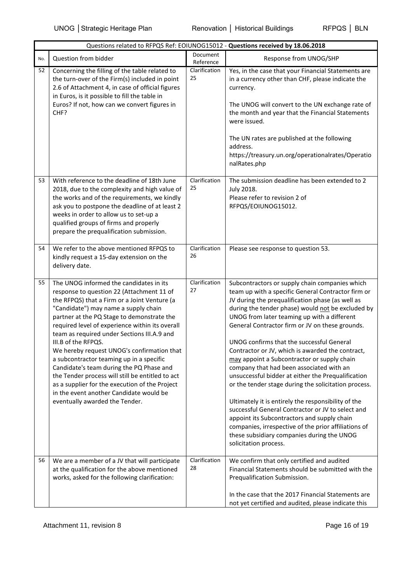|     | Questions related to RFPQS Ref: EOIUNOG15012 - Questions received by 18.06.2018                                                                                                                                                                                                                                                                                                                                                                                                                                                                                                                                                                                              |                       |                                                                                                                                                                                                                                                                                                                                                                                                                                                                                                                                                                                                                                                                                                                                                                                                                                                                                                                     |  |
|-----|------------------------------------------------------------------------------------------------------------------------------------------------------------------------------------------------------------------------------------------------------------------------------------------------------------------------------------------------------------------------------------------------------------------------------------------------------------------------------------------------------------------------------------------------------------------------------------------------------------------------------------------------------------------------------|-----------------------|---------------------------------------------------------------------------------------------------------------------------------------------------------------------------------------------------------------------------------------------------------------------------------------------------------------------------------------------------------------------------------------------------------------------------------------------------------------------------------------------------------------------------------------------------------------------------------------------------------------------------------------------------------------------------------------------------------------------------------------------------------------------------------------------------------------------------------------------------------------------------------------------------------------------|--|
| No. | Question from bidder                                                                                                                                                                                                                                                                                                                                                                                                                                                                                                                                                                                                                                                         | Document<br>Reference | Response from UNOG/SHP                                                                                                                                                                                                                                                                                                                                                                                                                                                                                                                                                                                                                                                                                                                                                                                                                                                                                              |  |
| 52  | Concerning the filling of the table related to<br>the turn-over of the Firm(s) included in point<br>2.6 of Attachment 4, in case of official figures<br>in Euros, is it possible to fill the table in<br>Euros? If not, how can we convert figures in<br>CHF?                                                                                                                                                                                                                                                                                                                                                                                                                | Clarification<br>25   | Yes, in the case that your Financial Statements are<br>in a currency other than CHF, please indicate the<br>currency.<br>The UNOG will convert to the UN exchange rate of<br>the month and year that the Financial Statements<br>were issued.<br>The UN rates are published at the following<br>address.<br>https://treasury.un.org/operationalrates/Operatio<br>nalRates.php                                                                                                                                                                                                                                                                                                                                                                                                                                                                                                                                       |  |
| 53  | With reference to the deadline of 18th June<br>2018, due to the complexity and high value of<br>the works and of the requirements, we kindly<br>ask you to postpone the deadline of at least 2<br>weeks in order to allow us to set-up a<br>qualified groups of firms and properly<br>prepare the prequalification submission.                                                                                                                                                                                                                                                                                                                                               | Clarification<br>25   | The submission deadline has been extended to 2<br><b>July 2018.</b><br>Please refer to revision 2 of<br>RFPQS/EOIUNOG15012.                                                                                                                                                                                                                                                                                                                                                                                                                                                                                                                                                                                                                                                                                                                                                                                         |  |
| 54  | We refer to the above mentioned RFPQS to<br>kindly request a 15-day extension on the<br>delivery date.                                                                                                                                                                                                                                                                                                                                                                                                                                                                                                                                                                       | Clarification<br>26   | Please see response to question 53.                                                                                                                                                                                                                                                                                                                                                                                                                                                                                                                                                                                                                                                                                                                                                                                                                                                                                 |  |
| 55  | The UNOG informed the candidates in its<br>response to question 22 (Attachment 11 of<br>the RFPQS) that a Firm or a Joint Venture (a<br>"Candidate") may name a supply chain<br>partner at the PQ Stage to demonstrate the<br>required level of experience within its overall<br>team as required under Sections III.A.9 and<br>III.B of the RFPQS.<br>We hereby request UNOG's confirmation that<br>a subcontractor teaming up in a specific<br>Candidate's team during the PQ Phase and<br>the Tender process will still be entitled to act<br>as a supplier for the execution of the Project<br>in the event another Candidate would be<br>eventually awarded the Tender. | Clarification<br>27   | Subcontractors or supply chain companies which<br>team up with a specific General Contractor firm or<br>JV during the prequalification phase (as well as<br>during the tender phase) would not be excluded by<br>UNOG from later teaming up with a different<br>General Contractor firm or JV on these grounds.<br>UNOG confirms that the successful General<br>Contractor or JV, which is awarded the contract,<br>may appoint a Subcontractor or supply chain<br>company that had been associated with an<br>unsuccessful bidder at either the Prequalification<br>or the tender stage during the solicitation process.<br>Ultimately it is entirely the responsibility of the<br>successful General Contractor or JV to select and<br>appoint its Subcontractors and supply chain<br>companies, irrespective of the prior affiliations of<br>these subsidiary companies during the UNOG<br>solicitation process. |  |
| 56  | We are a member of a JV that will participate<br>at the qualification for the above mentioned<br>works, asked for the following clarification:                                                                                                                                                                                                                                                                                                                                                                                                                                                                                                                               | Clarification<br>28   | We confirm that only certified and audited<br>Financial Statements should be submitted with the<br>Prequalification Submission.<br>In the case that the 2017 Financial Statements are<br>not yet certified and audited, please indicate this                                                                                                                                                                                                                                                                                                                                                                                                                                                                                                                                                                                                                                                                        |  |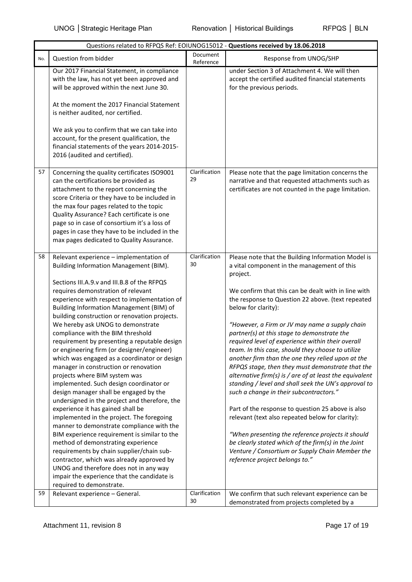|     | Questions related to RFPQS Ref: EOIUNOG15012 - Questions received by 18.06.2018                                                                                                                                                                                                                                                                                                                                                                                                                                                                                                                                                                                                                                                                                                                                                                                                                                                                                                                                                                                                                                                                                                                 |                       |                                                                                                                                                                                                                                                                                                                                                                                                                                                                                                                                                                                                                                                                                                                                                                                                                                                                                                                                                                                                                                              |  |  |
|-----|-------------------------------------------------------------------------------------------------------------------------------------------------------------------------------------------------------------------------------------------------------------------------------------------------------------------------------------------------------------------------------------------------------------------------------------------------------------------------------------------------------------------------------------------------------------------------------------------------------------------------------------------------------------------------------------------------------------------------------------------------------------------------------------------------------------------------------------------------------------------------------------------------------------------------------------------------------------------------------------------------------------------------------------------------------------------------------------------------------------------------------------------------------------------------------------------------|-----------------------|----------------------------------------------------------------------------------------------------------------------------------------------------------------------------------------------------------------------------------------------------------------------------------------------------------------------------------------------------------------------------------------------------------------------------------------------------------------------------------------------------------------------------------------------------------------------------------------------------------------------------------------------------------------------------------------------------------------------------------------------------------------------------------------------------------------------------------------------------------------------------------------------------------------------------------------------------------------------------------------------------------------------------------------------|--|--|
| No. | Question from bidder                                                                                                                                                                                                                                                                                                                                                                                                                                                                                                                                                                                                                                                                                                                                                                                                                                                                                                                                                                                                                                                                                                                                                                            | Document<br>Reference | Response from UNOG/SHP                                                                                                                                                                                                                                                                                                                                                                                                                                                                                                                                                                                                                                                                                                                                                                                                                                                                                                                                                                                                                       |  |  |
|     | Our 2017 Financial Statement, in compliance<br>with the law, has not yet been approved and<br>will be approved within the next June 30.<br>At the moment the 2017 Financial Statement<br>is neither audited, nor certified.<br>We ask you to confirm that we can take into<br>account, for the present qualification, the<br>financial statements of the years 2014-2015-<br>2016 (audited and certified).                                                                                                                                                                                                                                                                                                                                                                                                                                                                                                                                                                                                                                                                                                                                                                                      |                       | under Section 3 of Attachment 4. We will then<br>accept the certified audited financial statements<br>for the previous periods.                                                                                                                                                                                                                                                                                                                                                                                                                                                                                                                                                                                                                                                                                                                                                                                                                                                                                                              |  |  |
| 57  | Concerning the quality certificates ISO9001<br>can the certifications be provided as<br>attachment to the report concerning the<br>score Criteria or they have to be included in<br>the max four pages related to the topic<br>Quality Assurance? Each certificate is one<br>page so in case of consortium it's a loss of<br>pages in case they have to be included in the<br>max pages dedicated to Quality Assurance.                                                                                                                                                                                                                                                                                                                                                                                                                                                                                                                                                                                                                                                                                                                                                                         | Clarification<br>29   | Please note that the page limitation concerns the<br>narrative and that requested attachments such as<br>certificates are not counted in the page limitation.                                                                                                                                                                                                                                                                                                                                                                                                                                                                                                                                                                                                                                                                                                                                                                                                                                                                                |  |  |
| 58  | Relevant experience - implementation of<br>Building Information Management (BIM).<br>Sections III.A.9.v and III.B.8 of the RFPQS<br>requires demonstration of relevant<br>experience with respect to implementation of<br>Building Information Management (BIM) of<br>building construction or renovation projects.<br>We hereby ask UNOG to demonstrate<br>compliance with the BIM threshold<br>requirement by presenting a reputable design<br>or engineering firm (or designer/engineer)<br>which was engaged as a coordinator or design<br>manager in construction or renovation<br>projects where BIM system was<br>implemented. Such design coordinator or<br>design manager shall be engaged by the<br>undersigned in the project and therefore, the<br>experience it has gained shall be<br>implemented in the project. The foregoing<br>manner to demonstrate compliance with the<br>BIM experience requirement is similar to the<br>method of demonstrating experience<br>requirements by chain supplier/chain sub-<br>contractor, which was already approved by<br>UNOG and therefore does not in any way<br>impair the experience that the candidate is<br>required to demonstrate. | Clarification<br>30   | Please note that the Building Information Model is<br>a vital component in the management of this<br>project.<br>We confirm that this can be dealt with in line with<br>the response to Question 22 above. (text repeated<br>below for clarity):<br>"However, a Firm or JV may name a supply chain<br>partner(s) at this stage to demonstrate the<br>required level of experience within their overall<br>team. In this case, should they choose to utilize<br>another firm than the one they relied upon at the<br>RFPQS stage, then they must demonstrate that the<br>alternative firm(s) is / are of at least the equivalent<br>standing / level and shall seek the UN's approval to<br>such a change in their subcontractors."<br>Part of the response to question 25 above is also<br>relevant (text also repeated below for clarity):<br>"When presenting the reference projects it should<br>be clearly stated which of the firm(s) in the Joint<br>Venture / Consortium or Supply Chain Member the<br>reference project belongs to." |  |  |
| 59  | Relevant experience - General.                                                                                                                                                                                                                                                                                                                                                                                                                                                                                                                                                                                                                                                                                                                                                                                                                                                                                                                                                                                                                                                                                                                                                                  | Clarification<br>30   | We confirm that such relevant experience can be<br>demonstrated from projects completed by a                                                                                                                                                                                                                                                                                                                                                                                                                                                                                                                                                                                                                                                                                                                                                                                                                                                                                                                                                 |  |  |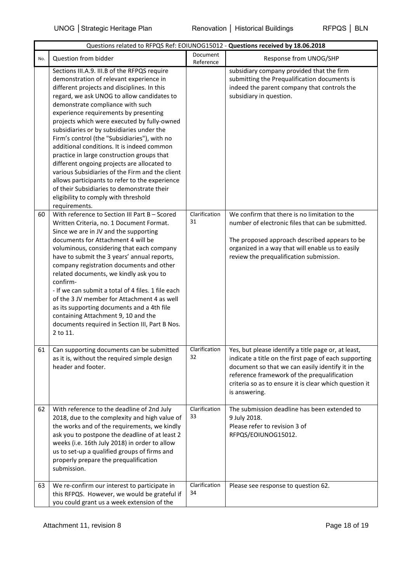|     | Questions related to RFPQS Ref: EOIUNOG15012 - Questions received by 18.06.2018                                                                                                                                                                                                                                                                                                                                                                                                                                                                                                                                                                                                                                                                                      |                       |                                                                                                                                                                                                                                                                                             |  |
|-----|----------------------------------------------------------------------------------------------------------------------------------------------------------------------------------------------------------------------------------------------------------------------------------------------------------------------------------------------------------------------------------------------------------------------------------------------------------------------------------------------------------------------------------------------------------------------------------------------------------------------------------------------------------------------------------------------------------------------------------------------------------------------|-----------------------|---------------------------------------------------------------------------------------------------------------------------------------------------------------------------------------------------------------------------------------------------------------------------------------------|--|
| No. | Question from bidder                                                                                                                                                                                                                                                                                                                                                                                                                                                                                                                                                                                                                                                                                                                                                 | Document<br>Reference | Response from UNOG/SHP                                                                                                                                                                                                                                                                      |  |
|     | Sections III.A.9. III.B of the RFPQS require<br>demonstration of relevant experience in<br>different projects and disciplines. In this<br>regard, we ask UNOG to allow candidates to<br>demonstrate compliance with such<br>experience requirements by presenting<br>projects which were executed by fully-owned<br>subsidiaries or by subsidiaries under the<br>Firm's control (the "Subsidiaries"), with no<br>additional conditions. It is indeed common<br>practice in large construction groups that<br>different ongoing projects are allocated to<br>various Subsidiaries of the Firm and the client<br>allows participants to refer to the experience<br>of their Subsidiaries to demonstrate their<br>eligibility to comply with threshold<br>requirements. |                       | subsidiary company provided that the firm<br>submitting the Prequalification documents is<br>indeed the parent company that controls the<br>subsidiary in question.                                                                                                                         |  |
| 60  | With reference to Section III Part B - Scored<br>Written Criteria, no. 1 Document Format.<br>Since we are in JV and the supporting<br>documents for Attachment 4 will be<br>voluminous, considering that each company<br>have to submit the 3 years' annual reports,<br>company registration documents and other<br>related documents, we kindly ask you to<br>confirm-<br>- If we can submit a total of 4 files. 1 file each<br>of the 3 JV member for Attachment 4 as well<br>as its supporting documents and a 4th file<br>containing Attachment 9, 10 and the<br>documents required in Section III, Part B Nos.<br>2 to 11.                                                                                                                                      | Clarification<br>31   | We confirm that there is no limitation to the<br>number of electronic files that can be submitted.<br>The proposed approach described appears to be<br>organized in a way that will enable us to easily<br>review the prequalification submission.                                          |  |
| 61  | Can supporting documents can be submitted<br>as it is, without the required simple design<br>header and footer.                                                                                                                                                                                                                                                                                                                                                                                                                                                                                                                                                                                                                                                      | Clarification<br>32   | Yes, but please identify a title page or, at least,<br>indicate a title on the first page of each supporting<br>document so that we can easily identify it in the<br>reference framework of the prequalification<br>criteria so as to ensure it is clear which question it<br>is answering. |  |
| 62  | With reference to the deadline of 2nd July<br>2018, due to the complexity and high value of<br>the works and of the requirements, we kindly<br>ask you to postpone the deadline of at least 2<br>weeks (i.e. 16th July 2018) in order to allow<br>us to set-up a qualified groups of firms and<br>properly prepare the prequalification<br>submission.                                                                                                                                                                                                                                                                                                                                                                                                               | Clarification<br>33   | The submission deadline has been extended to<br>9 July 2018.<br>Please refer to revision 3 of<br>RFPQS/EOIUNOG15012.                                                                                                                                                                        |  |
| 63  | We re-confirm our interest to participate in<br>this RFPQS. However, we would be grateful if<br>you could grant us a week extension of the                                                                                                                                                                                                                                                                                                                                                                                                                                                                                                                                                                                                                           | Clarification<br>34   | Please see response to question 62.                                                                                                                                                                                                                                                         |  |